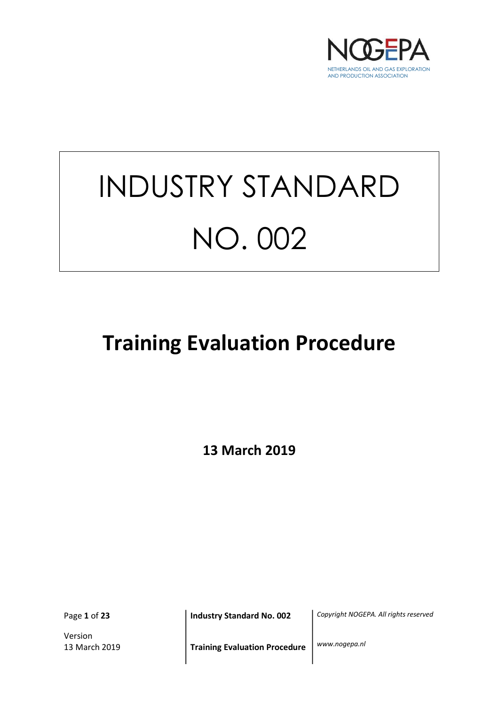

# INDUSTRY STANDARD NO. 002

## Training Evaluation Procedure

13 March 2019

Page 1 of 23

Version

Industry Standard No. 002 | Copyright NOGEPA. All rights reserved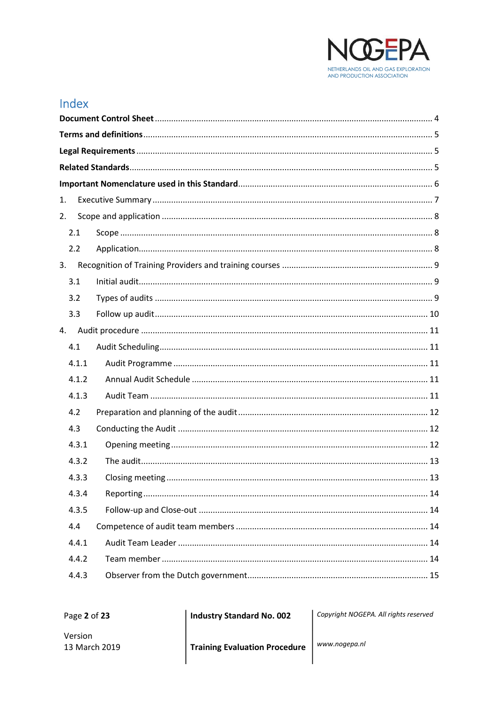

## Index

| 1. |       |  |  |  |  |
|----|-------|--|--|--|--|
| 2. |       |  |  |  |  |
|    | 2.1   |  |  |  |  |
|    | 2.2   |  |  |  |  |
| 3. |       |  |  |  |  |
|    | 3.1   |  |  |  |  |
|    | 3.2   |  |  |  |  |
|    | 3.3   |  |  |  |  |
| 4. |       |  |  |  |  |
|    | 4.1   |  |  |  |  |
|    | 4.1.1 |  |  |  |  |
|    | 4.1.2 |  |  |  |  |
|    | 4.1.3 |  |  |  |  |
|    | 4.2   |  |  |  |  |
|    | 4.3   |  |  |  |  |
|    | 4.3.1 |  |  |  |  |
|    | 4.3.2 |  |  |  |  |
|    | 4.3.3 |  |  |  |  |
|    | 4.3.4 |  |  |  |  |
|    | 4.3.5 |  |  |  |  |
|    | 4.4   |  |  |  |  |
|    | 4.4.1 |  |  |  |  |
|    | 4.4.2 |  |  |  |  |
|    | 4.4.3 |  |  |  |  |
|    |       |  |  |  |  |

Page 2 of 23

**Industry Standard No. 002** 

Copyright NOGEPA. All rights reserved

www.nogepa.nl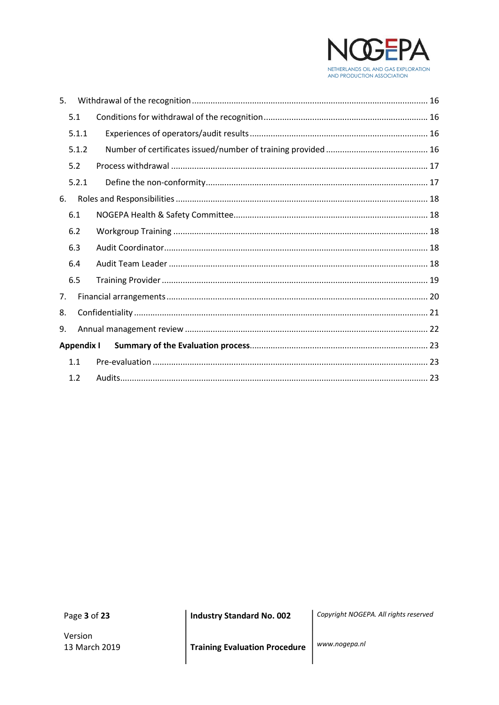

| 5.                |  |
|-------------------|--|
| 5.1               |  |
| 5.1.1             |  |
| 5.1.2             |  |
| 5.2               |  |
| 5.2.1             |  |
| 6.                |  |
| 6.1               |  |
| 6.2               |  |
| 6.3               |  |
| 6.4               |  |
| 6.5               |  |
| 7.                |  |
| 8.                |  |
| 9.                |  |
| <b>Appendix I</b> |  |
| 1.1               |  |
| 1.2               |  |

Page 3 of 23

Version 13 March 2019 **Industry Standard No. 002** 

Copyright NOGEPA. All rights reserved

**Training Evaluation Procedure** 

www.nogepa.nl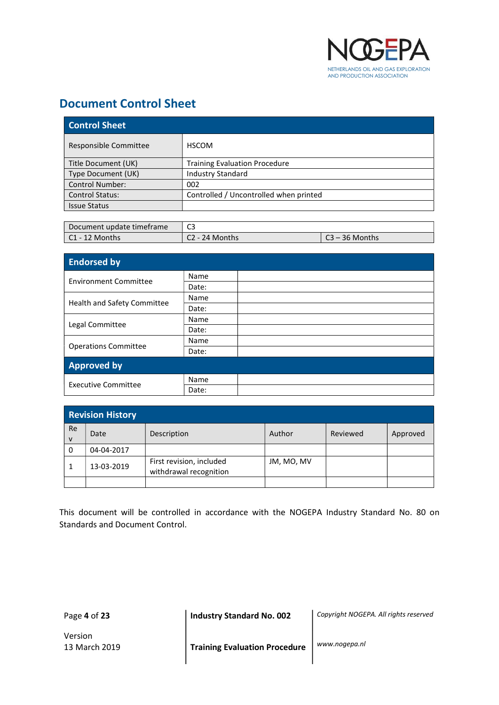

## Document Control Sheet

| <b>Control Sheet</b>   |                                        |  |
|------------------------|----------------------------------------|--|
| Responsible Committee  | <b>HSCOM</b>                           |  |
| Title Document (UK)    | <b>Training Evaluation Procedure</b>   |  |
| Type Document (UK)     | <b>Industry Standard</b>               |  |
| <b>Control Number:</b> | 002                                    |  |
| <b>Control Status:</b> | Controlled / Uncontrolled when printed |  |
| <b>Issue Status</b>    |                                        |  |

| Document update timeframe |                |                  |
|---------------------------|----------------|------------------|
| l C1 - 12 Months          | C2 - 24 Months | $C3 - 36$ Months |

| <b>Endorsed by</b>           |       |  |  |
|------------------------------|-------|--|--|
| <b>Environment Committee</b> | Name  |  |  |
|                              | Date: |  |  |
|                              | Name  |  |  |
| Health and Safety Committee  | Date: |  |  |
|                              | Name  |  |  |
| Legal Committee              | Date: |  |  |
|                              | Name  |  |  |
| <b>Operations Committee</b>  | Date: |  |  |
| <b>Approved by</b>           |       |  |  |
| <b>Executive Committee</b>   | Name  |  |  |
|                              | Date: |  |  |

| <b>Revision History</b>   |            |                                                    |            |          |          |
|---------------------------|------------|----------------------------------------------------|------------|----------|----------|
| <b>Re</b><br>$\mathsf{v}$ | Date       | Description                                        | Author     | Reviewed | Approved |
| 0                         | 04-04-2017 |                                                    |            |          |          |
|                           | 13-03-2019 | First revision, included<br>withdrawal recognition | JM, MO, MV |          |          |
|                           |            |                                                    |            |          |          |

This document will be controlled in accordance with the NOGEPA Industry Standard No. 80 on Standards and Document Control.

Page 4 of 23

Industry Standard No. 002 | Copyright NOGEPA. All rights reserved

Version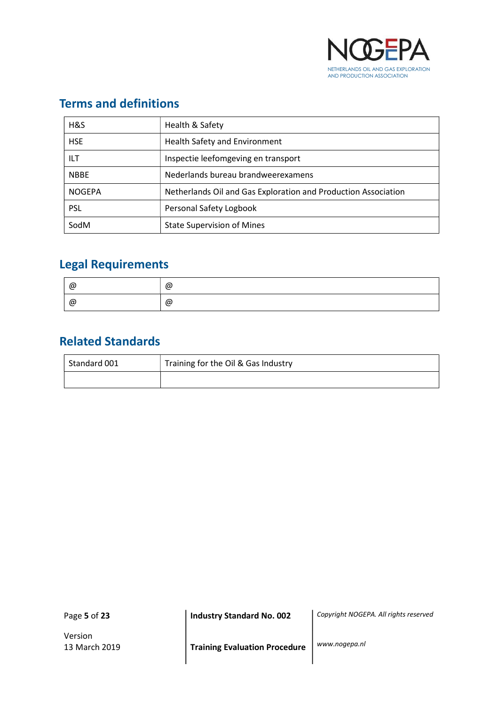

## Terms and definitions

| H&S           | Health & Safety                                                |
|---------------|----------------------------------------------------------------|
| <b>HSE</b>    | <b>Health Safety and Environment</b>                           |
| ILT           | Inspectie leefomgeving en transport                            |
| <b>NBBE</b>   | Nederlands bureau brandweerexamens                             |
| <b>NOGEPA</b> | Netherlands Oil and Gas Exploration and Production Association |
| <b>PSL</b>    | Personal Safety Logbook                                        |
| SodM          | <b>State Supervision of Mines</b>                              |

## Legal Requirements

| @ | @ |
|---|---|
| @ | @ |

## Related Standards

| Standard 001 | Training for the Oil & Gas Industry |  |
|--------------|-------------------------------------|--|
|              |                                     |  |

Page 5 of 23

Industry Standard No. 002 | Copyright NOGEPA. All rights reserved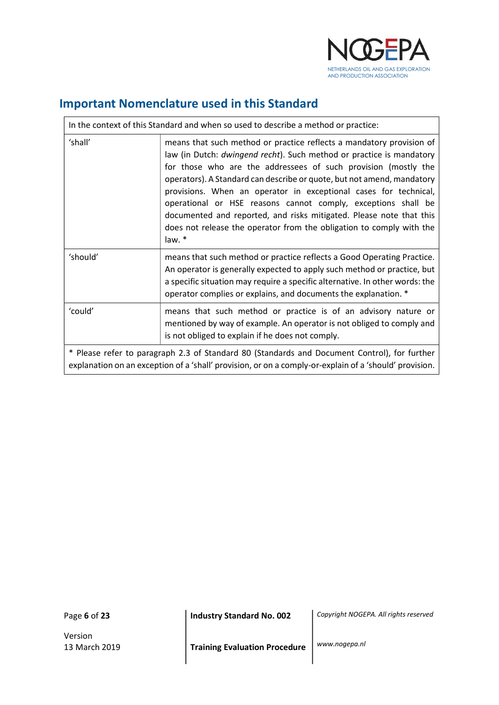

## Important Nomenclature used in this Standard

| In the context of this Standard and when so used to describe a method or practice:                                                                                                                     |                                                                                                                                                                                                                                                                                                                                                                                                                                                                                                                                                                                        |  |
|--------------------------------------------------------------------------------------------------------------------------------------------------------------------------------------------------------|----------------------------------------------------------------------------------------------------------------------------------------------------------------------------------------------------------------------------------------------------------------------------------------------------------------------------------------------------------------------------------------------------------------------------------------------------------------------------------------------------------------------------------------------------------------------------------------|--|
| 'shall'                                                                                                                                                                                                | means that such method or practice reflects a mandatory provision of<br>law (in Dutch: dwingend recht). Such method or practice is mandatory<br>for those who are the addressees of such provision (mostly the<br>operators). A Standard can describe or quote, but not amend, mandatory<br>provisions. When an operator in exceptional cases for technical,<br>operational or HSE reasons cannot comply, exceptions shall be<br>documented and reported, and risks mitigated. Please note that this<br>does not release the operator from the obligation to comply with the<br>law. * |  |
| 'should'                                                                                                                                                                                               | means that such method or practice reflects a Good Operating Practice.<br>An operator is generally expected to apply such method or practice, but<br>a specific situation may require a specific alternative. In other words: the<br>operator complies or explains, and documents the explanation. *                                                                                                                                                                                                                                                                                   |  |
| 'could'<br>means that such method or practice is of an advisory nature or<br>mentioned by way of example. An operator is not obliged to comply and<br>is not obliged to explain if he does not comply. |                                                                                                                                                                                                                                                                                                                                                                                                                                                                                                                                                                                        |  |
| * Please refer to paragraph 2.3 of Standard 80 (Standards and Document Control), for further<br>explanation on an exception of a 'shall' provision, or on a comply-or-explain of a 'should' provision. |                                                                                                                                                                                                                                                                                                                                                                                                                                                                                                                                                                                        |  |

Page 6 of 23

 $\Gamma$ 

Version

Industry Standard No. 002 | Copyright NOGEPA. All rights reserved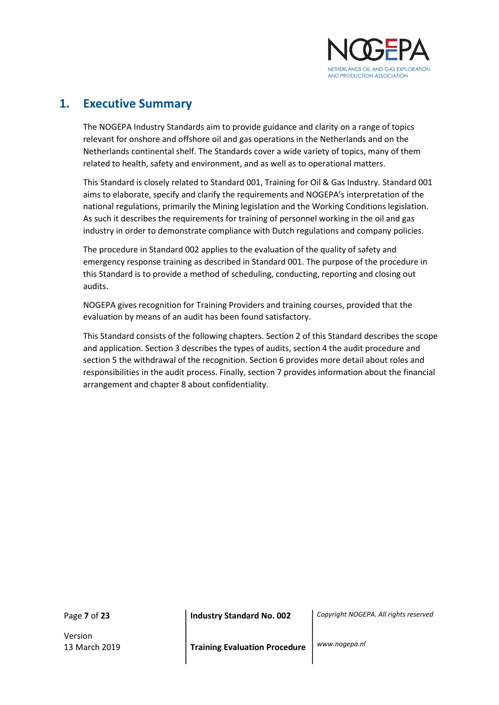

## 1. Executive Summary

The NOGEPA Industry Standards aim to provide guidance and clarity on a range of topics relevant for onshore and offshore oil and gas operations in the Netherlands and on the Netherlands continental shelf. The Standards cover a wide variety of topics, many of them related to health, safety and environment, and as well as to operational matters.

This Standard is closely related to Standard 001, Training for Oil & Gas Industry. Standard 001 aims to elaborate, specify and clarify the requirements and NOGEPA's interpretation of the national regulations, primarily the Mining legislation and the Working Conditions legislation. As such it describes the requirements for training of personnel working in the oil and gas industry in order to demonstrate compliance with Dutch regulations and company policies.

The procedure in Standard 002 applies to the evaluation of the quality of safety and emergency response training as described in Standard 001. The purpose of the procedure in this Standard is to provide a method of scheduling, conducting, reporting and closing out audits.

NOGEPA gives recognition for Training Providers and training courses, provided that the evaluation by means of an audit has been found satisfactory.

This Standard consists of the following chapters. Section 2 of this Standard describes the scope and application. Section 3 describes the types of audits, section 4 the audit procedure and section 5 the withdrawal of the recognition. Section 6 provides more detail about roles and responsibilities in the audit process. Finally, section 7 provides information about the financial arrangement and chapter 8 about confidentiality.

Page 7 of 23

Version

Industry Standard No. 002 | Copyright NOGEPA. All rights reserved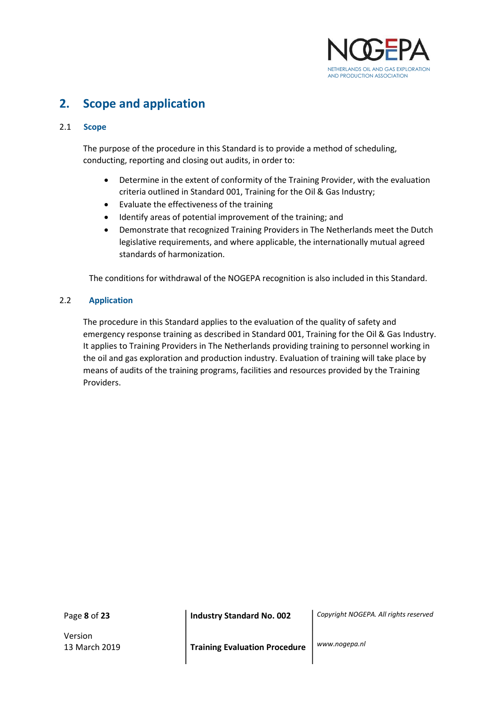

## 2. Scope and application

#### 2.1 Scope

 The purpose of the procedure in this Standard is to provide a method of scheduling, conducting, reporting and closing out audits, in order to:

- Determine in the extent of conformity of the Training Provider, with the evaluation criteria outlined in Standard 001, Training for the Oil & Gas Industry;
- Evaluate the effectiveness of the training
- Identify areas of potential improvement of the training; and
- Demonstrate that recognized Training Providers in The Netherlands meet the Dutch legislative requirements, and where applicable, the internationally mutual agreed standards of harmonization.

The conditions for withdrawal of the NOGEPA recognition is also included in this Standard.

#### 2.2 Application

 The procedure in this Standard applies to the evaluation of the quality of safety and emergency response training as described in Standard 001, Training for the Oil & Gas Industry. It applies to Training Providers in The Netherlands providing training to personnel working in the oil and gas exploration and production industry. Evaluation of training will take place by means of audits of the training programs, facilities and resources provided by the Training Providers.

Page 8 of 23

Version

Industry Standard No. 002 | Copyright NOGEPA. All rights reserved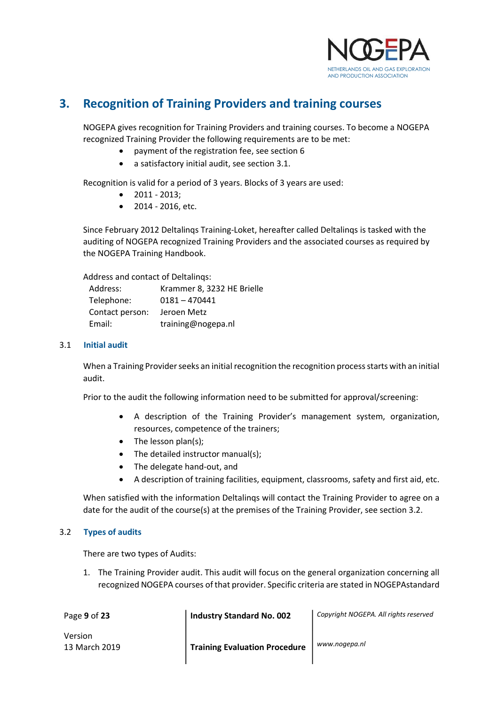

## 3. Recognition of Training Providers and training courses

NOGEPA gives recognition for Training Providers and training courses. To become a NOGEPA recognized Training Provider the following requirements are to be met:

- payment of the registration fee, see section 6
- a satisfactory initial audit, see section 3.1.

Recognition is valid for a period of 3 years. Blocks of 3 years are used:

- 2011 2013;
- 2014 2016, etc.

Since February 2012 Deltalinqs Training-Loket, hereafter called Deltalinqs is tasked with the auditing of NOGEPA recognized Training Providers and the associated courses as required by the NOGEPA Training Handbook.

Address and contact of Deltalinqs:

| Address:        | Krammer 8, 3232 HE Brielle |
|-----------------|----------------------------|
| Telephone:      | $0181 - 470441$            |
| Contact person: | Jeroen Metz                |
| Email:          | training@nogepa.nl         |

#### 3.1 Initial audit

 When a Training Provider seeks an initial recognition the recognition process starts with an initial audit.

Prior to the audit the following information need to be submitted for approval/screening:

- A description of the Training Provider's management system, organization, resources, competence of the trainers;
- $\bullet$  The lesson plan(s);
- The detailed instructor manual(s);
- The delegate hand-out, and

 $\overline{\phantom{a}}$ 

A description of training facilities, equipment, classrooms, safety and first aid, etc.

When satisfied with the information Deltalinqs will contact the Training Provider to agree on a date for the audit of the course(s) at the premises of the Training Provider, see section 3.2.

#### 3.2 Types of audits

There are two types of Audits:

1. The Training Provider audit. This audit will focus on the general organization concerning all recognized NOGEPA courses of that provider. Specific criteria are stated in NOGEPAstandard

| Page 9 of 23   | <b>Industry Standard No. 002</b>     | Copyright NOGEPA. All rights reserved |
|----------------|--------------------------------------|---------------------------------------|
| <b>Version</b> |                                      |                                       |
| 13 March 2019  | <b>Training Evaluation Procedure</b> | www.nogepa.nl                         |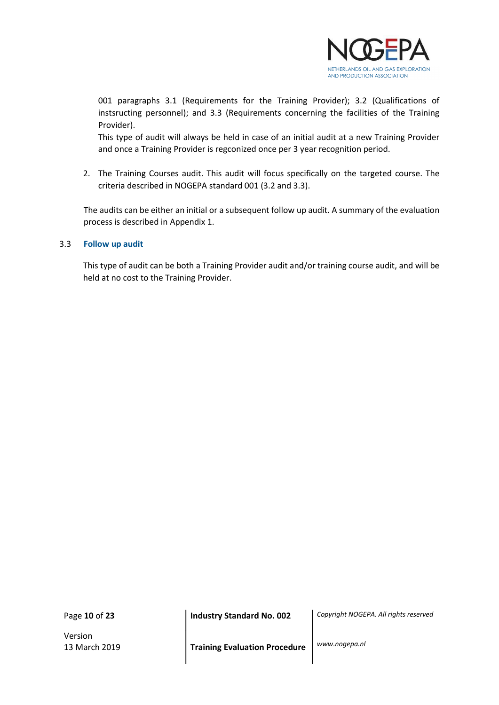

001 paragraphs 3.1 (Requirements for the Training Provider); 3.2 (Qualifications of instsructing personnel); and 3.3 (Requirements concerning the facilities of the Training Provider).

This type of audit will always be held in case of an initial audit at a new Training Provider and once a Training Provider is regconized once per 3 year recognition period.

2. The Training Courses audit. This audit will focus specifically on the targeted course. The criteria described in NOGEPA standard 001 (3.2 and 3.3).

The audits can be either an initial or a subsequent follow up audit. A summary of the evaluation process is described in Appendix 1.

#### 3.3 Follow up audit

 This type of audit can be both a Training Provider audit and/or training course audit, and will be held at no cost to the Training Provider.

Page 10 of 23

Version

Industry Standard No. 002 | Copyright NOGEPA. All rights reserved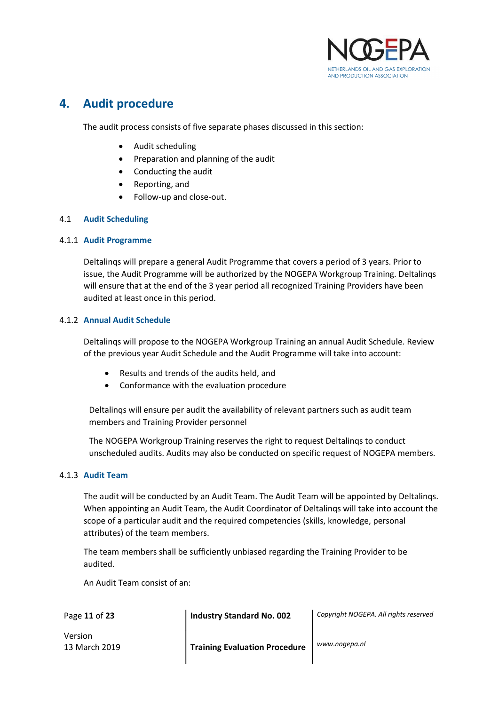

## 4. Audit procedure

The audit process consists of five separate phases discussed in this section:

- Audit scheduling
- Preparation and planning of the audit
- Conducting the audit
- Reporting, and
- Follow-up and close-out.

#### 4.1 Audit Scheduling

#### 4.1.1 Audit Programme

Deltalinqs will prepare a general Audit Programme that covers a period of 3 years. Prior to issue, the Audit Programme will be authorized by the NOGEPA Workgroup Training. Deltalinqs will ensure that at the end of the 3 year period all recognized Training Providers have been audited at least once in this period.

#### 4.1.2 Annual Audit Schedule

Deltalinqs will propose to the NOGEPA Workgroup Training an annual Audit Schedule. Review of the previous year Audit Schedule and the Audit Programme will take into account:

- Results and trends of the audits held, and
- Conformance with the evaluation procedure

Deltalinqs will ensure per audit the availability of relevant partners such as audit team members and Training Provider personnel

The NOGEPA Workgroup Training reserves the right to request Deltalinqs to conduct unscheduled audits. Audits may also be conducted on specific request of NOGEPA members.

#### 4.1.3 Audit Team

The audit will be conducted by an Audit Team. The Audit Team will be appointed by Deltalinqs. When appointing an Audit Team, the Audit Coordinator of Deltalinqs will take into account the scope of a particular audit and the required competencies (skills, knowledge, personal attributes) of the team members.

The team members shall be sufficiently unbiased regarding the Training Provider to be audited.

An Audit Team consist of an:

Industry Standard No. 002 | Copyright NOGEPA. All rights reserved

Version

Page 11 of 23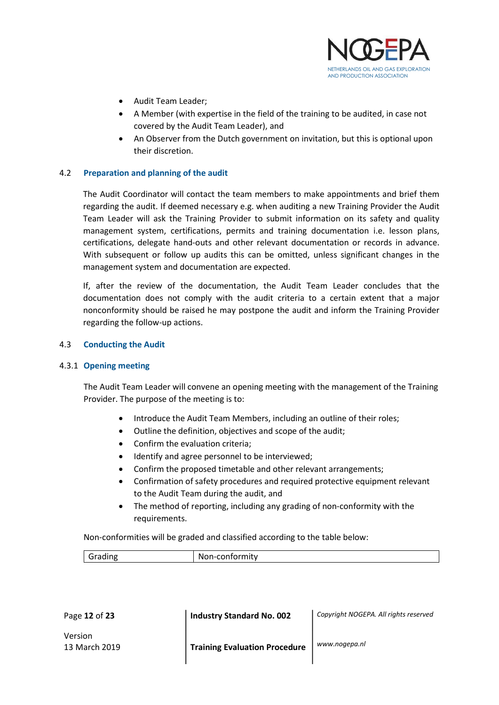

- Audit Team Leader:
- A Member (with expertise in the field of the training to be audited, in case not covered by the Audit Team Leader), and
- An Observer from the Dutch government on invitation, but this is optional upon their discretion.

#### 4.2 Preparation and planning of the audit

 The Audit Coordinator will contact the team members to make appointments and brief them regarding the audit. If deemed necessary e.g. when auditing a new Training Provider the Audit Team Leader will ask the Training Provider to submit information on its safety and quality management system, certifications, permits and training documentation i.e. lesson plans, certifications, delegate hand-outs and other relevant documentation or records in advance. With subsequent or follow up audits this can be omitted, unless significant changes in the management system and documentation are expected.

If, after the review of the documentation, the Audit Team Leader concludes that the documentation does not comply with the audit criteria to a certain extent that a major nonconformity should be raised he may postpone the audit and inform the Training Provider regarding the follow-up actions.

#### 4.3 Conducting the Audit

#### 4.3.1 Opening meeting

The Audit Team Leader will convene an opening meeting with the management of the Training Provider. The purpose of the meeting is to:

- Introduce the Audit Team Members, including an outline of their roles;
- Outline the definition, objectives and scope of the audit;
- Confirm the evaluation criteria;
- Identify and agree personnel to be interviewed;
- Confirm the proposed timetable and other relevant arrangements;
- Confirmation of safety procedures and required protective equipment relevant to the Audit Team during the audit, and
- The method of reporting, including any grading of non-conformity with the requirements.

Non-conformities will be graded and classified according to the table below:

| $\cdots$ | $\sim$ $\sim$ $\sim$ $\sim$ |
|----------|-----------------------------|
|          | NC                          |
|          |                             |

| Page 12 of 23            | <b>Industry Standard No. 002</b>     | Copyright NOGEPA. All rights reserved |
|--------------------------|--------------------------------------|---------------------------------------|
| Version<br>13 March 2019 | <b>Training Evaluation Procedure</b> | www.nogepa.nl                         |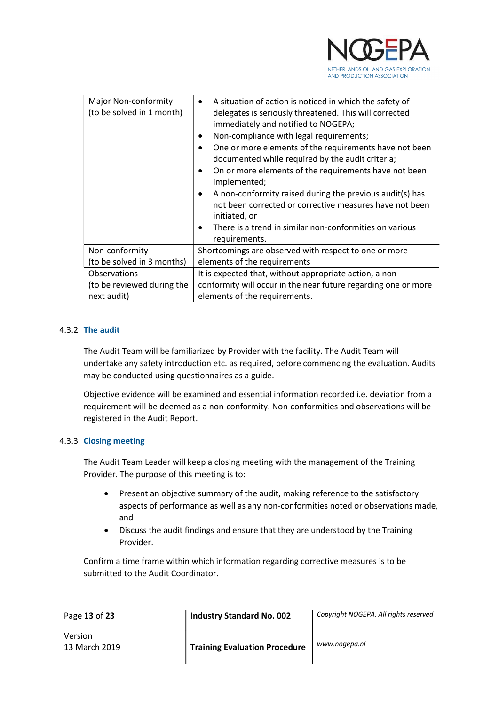

| <b>Major Non-conformity</b><br>(to be solved in 1 month) | A situation of action is noticed in which the safety of<br>$\bullet$<br>delegates is seriously threatened. This will corrected<br>immediately and notified to NOGEPA;<br>Non-compliance with legal requirements;<br>٠<br>One or more elements of the requirements have not been<br>٠<br>documented while required by the audit criteria;<br>On or more elements of the requirements have not been<br>$\bullet$<br>implemented;<br>A non-conformity raised during the previous audit(s) has<br>$\bullet$<br>not been corrected or corrective measures have not been<br>initiated, or<br>There is a trend in similar non-conformities on various<br>$\bullet$<br>requirements. |  |
|----------------------------------------------------------|------------------------------------------------------------------------------------------------------------------------------------------------------------------------------------------------------------------------------------------------------------------------------------------------------------------------------------------------------------------------------------------------------------------------------------------------------------------------------------------------------------------------------------------------------------------------------------------------------------------------------------------------------------------------------|--|
| Non-conformity                                           | Shortcomings are observed with respect to one or more                                                                                                                                                                                                                                                                                                                                                                                                                                                                                                                                                                                                                        |  |
| (to be solved in 3 months)                               | elements of the requirements                                                                                                                                                                                                                                                                                                                                                                                                                                                                                                                                                                                                                                                 |  |
| Observations                                             | It is expected that, without appropriate action, a non-                                                                                                                                                                                                                                                                                                                                                                                                                                                                                                                                                                                                                      |  |
| (to be reviewed during the                               | conformity will occur in the near future regarding one or more                                                                                                                                                                                                                                                                                                                                                                                                                                                                                                                                                                                                               |  |
| next audit)                                              | elements of the requirements.                                                                                                                                                                                                                                                                                                                                                                                                                                                                                                                                                                                                                                                |  |

#### 4.3.2 The audit

The Audit Team will be familiarized by Provider with the facility. The Audit Team will undertake any safety introduction etc. as required, before commencing the evaluation. Audits may be conducted using questionnaires as a guide.

Objective evidence will be examined and essential information recorded i.e. deviation from a requirement will be deemed as a non-conformity. Non-conformities and observations will be registered in the Audit Report.

#### 4.3.3 Closing meeting

The Audit Team Leader will keep a closing meeting with the management of the Training Provider. The purpose of this meeting is to:

- Present an objective summary of the audit, making reference to the satisfactory aspects of performance as well as any non-conformities noted or observations made, and
- Discuss the audit findings and ensure that they are understood by the Training Provider.

Confirm a time frame within which information regarding corrective measures is to be submitted to the Audit Coordinator.

| Page 13 of 23            | <b>Industry Standard No. 002</b>     | Copyright NOGEPA. All rights reserved |
|--------------------------|--------------------------------------|---------------------------------------|
| Version<br>13 March 2019 | <b>Training Evaluation Procedure</b> | www.nogepa.nl                         |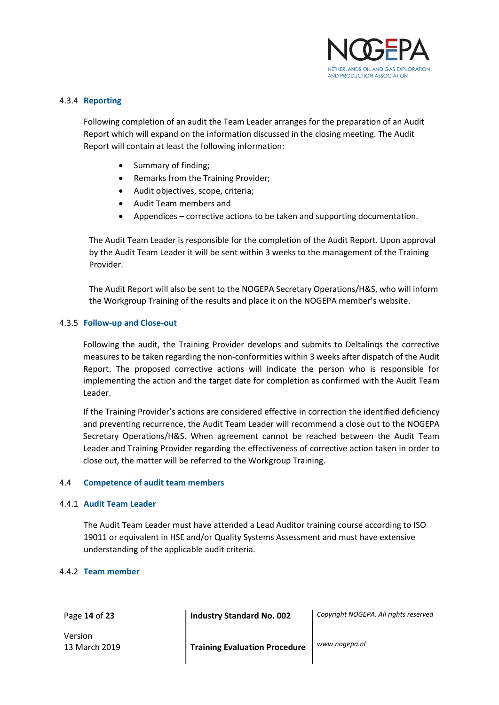

#### 4.3.4 Reporting

Following completion of an audit the Team Leader arranges for the preparation of an Audit Report which will expand on the information discussed in the closing meeting. The Audit Report will contain at least the following information:

- Summary of finding;
- Remarks from the Training Provider;
- Audit objectives, scope, criteria;
- Audit Team members and
- Appendices corrective actions to be taken and supporting documentation.

The Audit Team Leader is responsible for the completion of the Audit Report. Upon approval by the Audit Team Leader it will be sent within 3 weeks to the management of the Training Provider.

The Audit Report will also be sent to the NOGEPA Secretary Operations/H&S, who will inform the Workgroup Training of the results and place it on the NOGEPA member's website.

#### 4.3.5 Follow-up and Close-out

Following the audit, the Training Provider develops and submits to Deltalinqs the corrective measures to be taken regarding the non-conformities within 3 weeks after dispatch of the Audit Report. The proposed corrective actions will indicate the person who is responsible for implementing the action and the target date for completion as confirmed with the Audit Team Leader.

If the Training Provider's actions are considered effective in correction the identified deficiency and preventing recurrence, the Audit Team Leader will recommend a close out to the NOGEPA Secretary Operations/H&S. When agreement cannot be reached between the Audit Team Leader and Training Provider regarding the effectiveness of corrective action taken in order to close out, the matter will be referred to the Workgroup Training.

#### 4.4 Competence of audit team members

#### 4.4.1 Audit Team Leader

The Audit Team Leader must have attended a Lead Auditor training course according to ISO 19011 or equivalent in HSE and/or Quality Systems Assessment and must have extensive understanding of the applicable audit criteria.

#### 4.4.2 Team member

Page 14 of 23

Version

Industry Standard No. 002 | Copyright NOGEPA. All rights reserved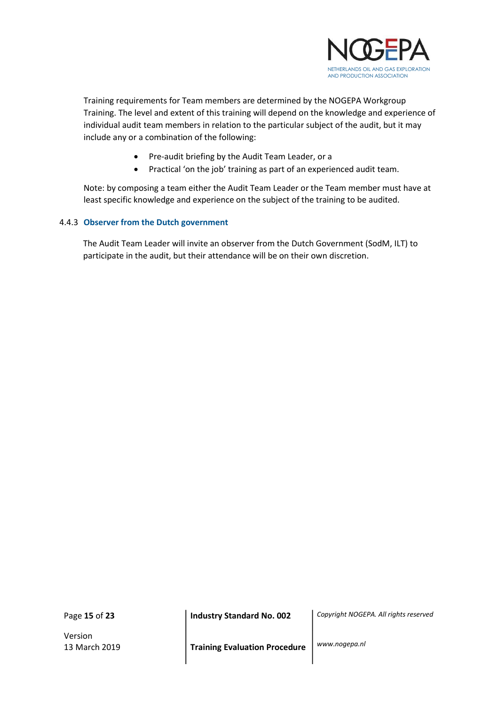

Training requirements for Team members are determined by the NOGEPA Workgroup Training. The level and extent of this training will depend on the knowledge and experience of individual audit team members in relation to the particular subject of the audit, but it may include any or a combination of the following:

- Pre-audit briefing by the Audit Team Leader, or a
- Practical 'on the job' training as part of an experienced audit team.

Note: by composing a team either the Audit Team Leader or the Team member must have at least specific knowledge and experience on the subject of the training to be audited.

#### 4.4.3 Observer from the Dutch government

The Audit Team Leader will invite an observer from the Dutch Government (SodM, ILT) to participate in the audit, but their attendance will be on their own discretion.

Page 15 of 23

Version

Industry Standard No. 002 | Copyright NOGEPA. All rights reserved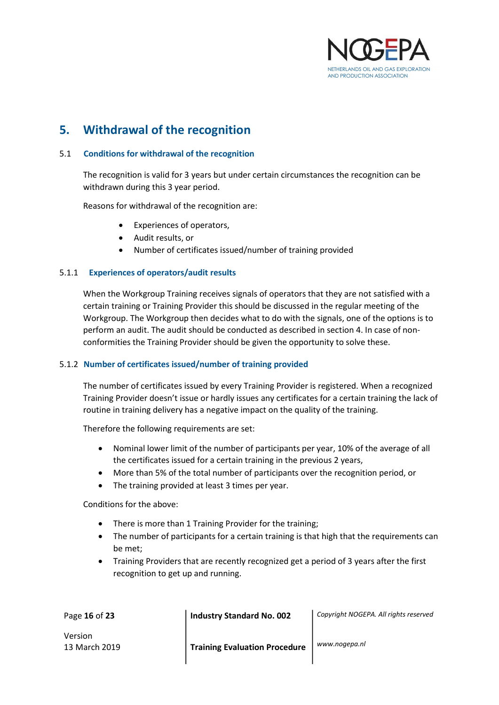

## 5. Withdrawal of the recognition

#### 5.1 Conditions for withdrawal of the recognition

The recognition is valid for 3 years but under certain circumstances the recognition can be withdrawn during this 3 year period.

Reasons for withdrawal of the recognition are:

- Experiences of operators,
- Audit results, or
- Number of certificates issued/number of training provided

#### 5.1.1 Experiences of operators/audit results

When the Workgroup Training receives signals of operators that they are not satisfied with a certain training or Training Provider this should be discussed in the regular meeting of the Workgroup. The Workgroup then decides what to do with the signals, one of the options is to perform an audit. The audit should be conducted as described in section 4. In case of nonconformities the Training Provider should be given the opportunity to solve these.

#### 5.1.2 Number of certificates issued/number of training provided

The number of certificates issued by every Training Provider is registered. When a recognized Training Provider doesn't issue or hardly issues any certificates for a certain training the lack of routine in training delivery has a negative impact on the quality of the training.

Therefore the following requirements are set:

- Nominal lower limit of the number of participants per year, 10% of the average of all the certificates issued for a certain training in the previous 2 years,
- More than 5% of the total number of participants over the recognition period, or
- The training provided at least 3 times per year.

Conditions for the above:

- There is more than 1 Training Provider for the training;
- The number of participants for a certain training is that high that the requirements can be met;
- Training Providers that are recently recognized get a period of 3 years after the first recognition to get up and running.

| Page 16 of 23            | <b>Industry Standard No. 002</b>     | Copyright NOGEPA. All rights reserved |
|--------------------------|--------------------------------------|---------------------------------------|
| Version<br>13 March 2019 | <b>Training Evaluation Procedure</b> | www.nogepa.nl                         |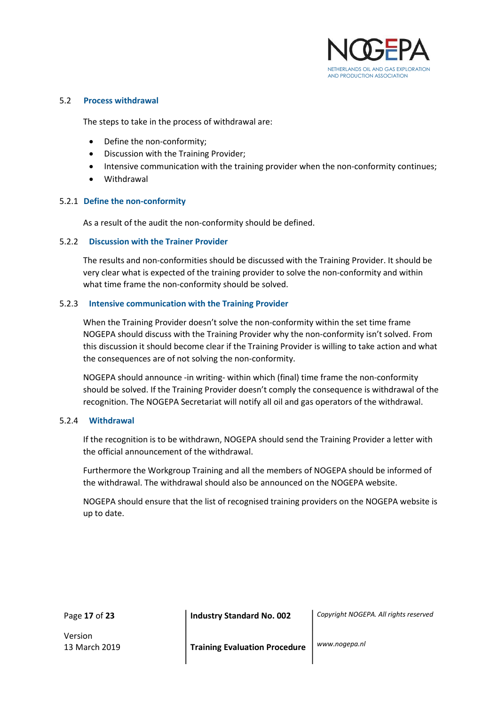

#### 5.2 Process withdrawal

The steps to take in the process of withdrawal are:

- Define the non-conformity;
- Discussion with the Training Provider;
- Intensive communication with the training provider when the non-conformity continues;
- Withdrawal

#### 5.2.1 Define the non-conformity

As a result of the audit the non-conformity should be defined.

#### 5.2.2 Discussion with the Trainer Provider

The results and non-conformities should be discussed with the Training Provider. It should be very clear what is expected of the training provider to solve the non-conformity and within what time frame the non-conformity should be solved.

#### 5.2.3 Intensive communication with the Training Provider

When the Training Provider doesn't solve the non-conformity within the set time frame NOGEPA should discuss with the Training Provider why the non-conformity isn't solved. From this discussion it should become clear if the Training Provider is willing to take action and what the consequences are of not solving the non-conformity.

NOGEPA should announce -in writing- within which (final) time frame the non-conformity should be solved. If the Training Provider doesn't comply the consequence is withdrawal of the recognition. The NOGEPA Secretariat will notify all oil and gas operators of the withdrawal.

#### 5.2.4 Withdrawal

If the recognition is to be withdrawn, NOGEPA should send the Training Provider a letter with the official announcement of the withdrawal.

Furthermore the Workgroup Training and all the members of NOGEPA should be informed of the withdrawal. The withdrawal should also be announced on the NOGEPA website.

NOGEPA should ensure that the list of recognised training providers on the NOGEPA website is up to date.

Page 17 of 23

Version

Industry Standard No. 002 | Copyright NOGEPA. All rights reserved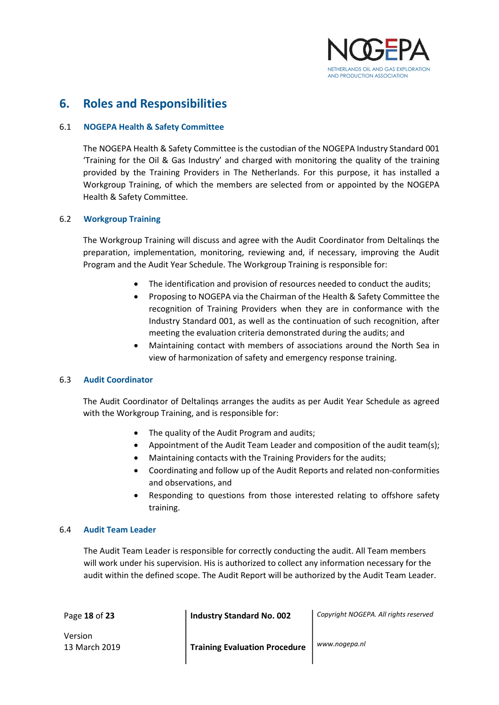

## 6. Roles and Responsibilities

#### 6.1 NOGEPA Health & Safety Committee

 The NOGEPA Health & Safety Committee is the custodian of the NOGEPA Industry Standard 001 'Training for the Oil & Gas Industry' and charged with monitoring the quality of the training provided by the Training Providers in The Netherlands. For this purpose, it has installed a Workgroup Training, of which the members are selected from or appointed by the NOGEPA Health & Safety Committee.

#### 6.2 Workgroup Training

 The Workgroup Training will discuss and agree with the Audit Coordinator from Deltalinqs the preparation, implementation, monitoring, reviewing and, if necessary, improving the Audit Program and the Audit Year Schedule. The Workgroup Training is responsible for:

- The identification and provision of resources needed to conduct the audits;
- Proposing to NOGEPA via the Chairman of the Health & Safety Committee the recognition of Training Providers when they are in conformance with the Industry Standard 001, as well as the continuation of such recognition, after meeting the evaluation criteria demonstrated during the audits; and
- Maintaining contact with members of associations around the North Sea in view of harmonization of safety and emergency response training.

#### 6.3 Audit Coordinator

 The Audit Coordinator of Deltalinqs arranges the audits as per Audit Year Schedule as agreed with the Workgroup Training, and is responsible for:

- The quality of the Audit Program and audits;
- Appointment of the Audit Team Leader and composition of the audit team(s);
- Maintaining contacts with the Training Providers for the audits;
- Coordinating and follow up of the Audit Reports and related non-conformities and observations, and
- Responding to questions from those interested relating to offshore safety training.

#### 6.4 Audit Team Leader

The Audit Team Leader is responsible for correctly conducting the audit. All Team members will work under his supervision. His is authorized to collect any information necessary for the audit within the defined scope. The Audit Report will be authorized by the Audit Team Leader.

| Page 18 of 23            | Industry Standard No. 002            | Copyright NOGEPA. All rights reserved |
|--------------------------|--------------------------------------|---------------------------------------|
| Version<br>13 March 2019 | <b>Training Evaluation Procedure</b> | www.nogepa.nl                         |

 $\mathbf{I}$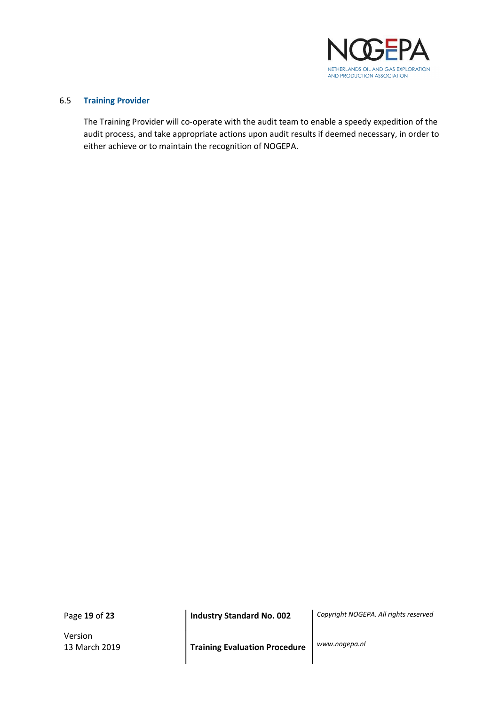

#### 6.5 Training Provider

The Training Provider will co-operate with the audit team to enable a speedy expedition of the audit process, and take appropriate actions upon audit results if deemed necessary, in order to either achieve or to maintain the recognition of NOGEPA.

Page 19 of 23

Version

Industry Standard No. 002 | Copyright NOGEPA. All rights reserved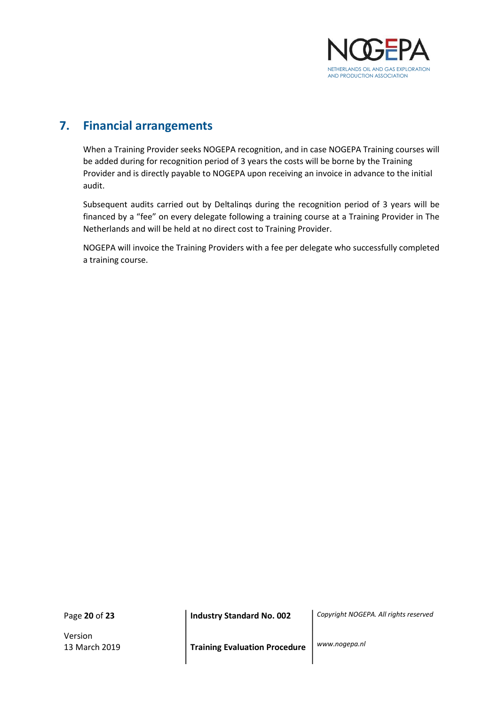

## 7. Financial arrangements

When a Training Provider seeks NOGEPA recognition, and in case NOGEPA Training courses will be added during for recognition period of 3 years the costs will be borne by the Training Provider and is directly payable to NOGEPA upon receiving an invoice in advance to the initial audit.

Subsequent audits carried out by Deltalinqs during the recognition period of 3 years will be financed by a "fee" on every delegate following a training course at a Training Provider in The Netherlands and will be held at no direct cost to Training Provider.

NOGEPA will invoice the Training Providers with a fee per delegate who successfully completed a training course.

Page 20 of 23

Version

Industry Standard No. 002 | Copyright NOGEPA. All rights reserved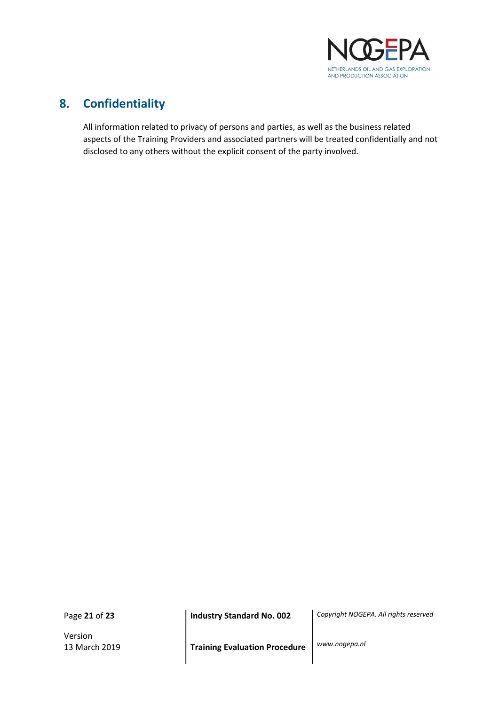

## 8. Confidentiality

All information related to privacy of persons and parties, as well as the business related aspects of the Training Providers and associated partners will be treated confidentially and not disclosed to any others without the explicit consent of the party involved.

Page 21 of 23

Version

Industry Standard No. 002 | Copyright NOGEPA. All rights reserved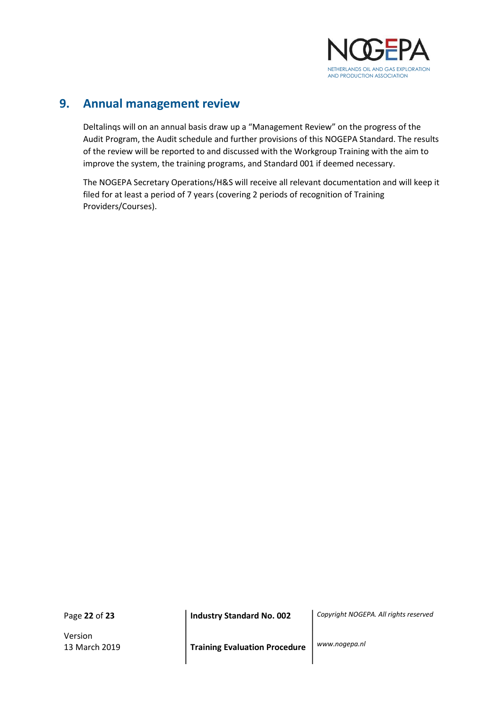

## 9. Annual management review

Deltalinqs will on an annual basis draw up a "Management Review" on the progress of the Audit Program, the Audit schedule and further provisions of this NOGEPA Standard. The results of the review will be reported to and discussed with the Workgroup Training with the aim to improve the system, the training programs, and Standard 001 if deemed necessary.

The NOGEPA Secretary Operations/H&S will receive all relevant documentation and will keep it filed for at least a period of 7 years (covering 2 periods of recognition of Training Providers/Courses).

Page 22 of 23

Version

Industry Standard No. 002 | Copyright NOGEPA. All rights reserved